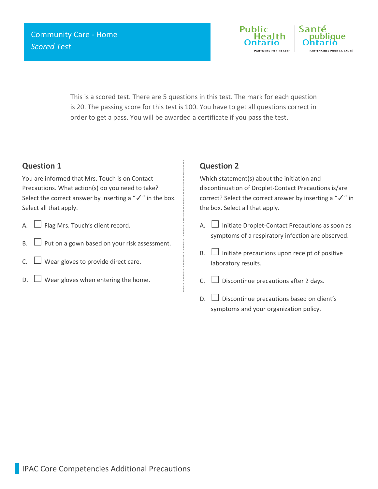

This is a scored test. There are 5 questions in this test. The mark for each question is 20. The passing score for this test is 100. You have to get all questions correct in order to get a pass. You will be awarded a certificate if you pass the test.

## **Question 1**

You are informed that Mrs. Touch is on Contact Precautions. What action(s) do you need to take? Select the correct answer by inserting a "√" in the box. Select all that apply.

- A.  $\Box$  Flag Mrs. Touch's client record.
- B.  $\Box$  Put on a gown based on your risk assessment.
- C.  $\Box$  Wear gloves to provide direct care.
- $\Box$  Wear gloves when entering the home.

# **Question 2**

Which statement(s) about the initiation and discontinuation of Droplet-Contact Precautions is/are correct? Select the correct answer by inserting a "✓" in the box. Select all that apply.

- A.  $\Box$  Initiate Droplet-Contact Precautions as soon as symptoms of a respiratory infection are observed.
- $B.$  Initiate precautions upon receipt of positive laboratory results.
- C.  $\Box$  Discontinue precautions after 2 days.
- $\Box$  Discontinue precautions based on client's symptoms and your organization policy.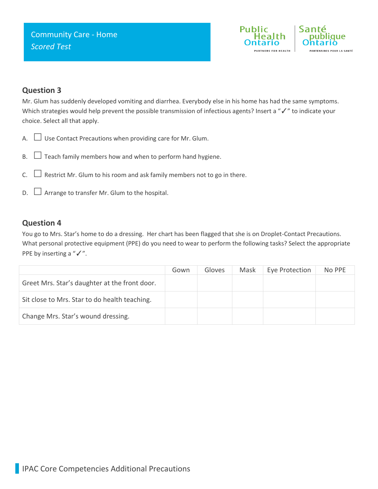

### **Question 3**

Mr. Glum has suddenly developed vomiting and diarrhea. Everybody else in his home has had the same symptoms. Which strategies would help prevent the possible transmission of infectious agents? Insert a "√" to indicate your choice. Select all that apply.

- A.  $\Box$  Use Contact Precautions when providing care for Mr. Glum.
- $B.$   $\Box$  Teach family members how and when to perform hand hygiene.
- C.  $\Box$  Restrict Mr. Glum to his room and ask family members not to go in there.
- $D.$   $\Box$  Arrange to transfer Mr. Glum to the hospital.

#### **Question 4**

You go to Mrs. Star's home to do a dressing. Her chart has been flagged that she is on Droplet-Contact Precautions. What personal protective equipment (PPE) do you need to wear to perform the following tasks? Select the appropriate PPE by inserting a "√".

|                                               | Gown | Gloves | Mask | Eye Protection | No PPE |
|-----------------------------------------------|------|--------|------|----------------|--------|
| Greet Mrs. Star's daughter at the front door. |      |        |      |                |        |
| Sit close to Mrs. Star to do health teaching. |      |        |      |                |        |
| Change Mrs. Star's wound dressing.            |      |        |      |                |        |